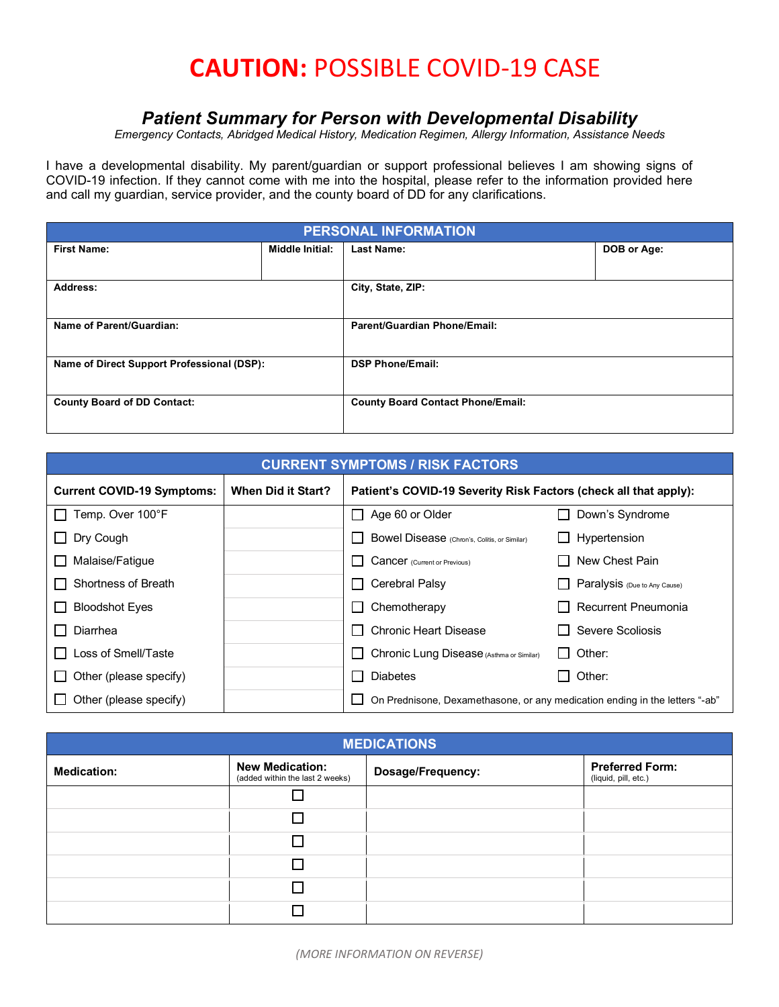## **CAUTION:** POSSIBLE COVID-19 CASE

#### *Patient Summary for Person with Developmental Disability*

*Emergency Contacts, Abridged Medical History, Medication Regimen, Allergy Information, Assistance Needs* 

I have a developmental disability. My parent/guardian or support professional believes I am showing signs of COVID-19 infection. If they cannot come with me into the hospital, please refer to the information provided here and call my guardian, service provider, and the county board of DD for any clarifications.

| <b>PERSONAL INFORMATION</b>                |                        |                                          |             |
|--------------------------------------------|------------------------|------------------------------------------|-------------|
| <b>First Name:</b>                         | <b>Middle Initial:</b> | <b>Last Name:</b>                        | DOB or Age: |
| Address:                                   |                        | City, State, ZIP:                        |             |
| Name of Parent/Guardian:                   |                        | Parent/Guardian Phone/Email:             |             |
| Name of Direct Support Professional (DSP): |                        | <b>DSP Phone/Email:</b>                  |             |
| <b>County Board of DD Contact:</b>         |                        | <b>County Board Contact Phone/Email:</b> |             |

| <b>CURRENT SYMPTOMS / RISK FACTORS</b> |                           |                                                                             |                              |  |
|----------------------------------------|---------------------------|-----------------------------------------------------------------------------|------------------------------|--|
| <b>Current COVID-19 Symptoms:</b>      | <b>When Did it Start?</b> | Patient's COVID-19 Severity Risk Factors (check all that apply):            |                              |  |
| Temp. Over 100°F                       |                           | $\Box$ Age 60 or Older                                                      | Down's Syndrome              |  |
| Dry Cough                              |                           | Bowel Disease (Chron's, Colitis, or Similar)                                | Hypertension                 |  |
| Malaise/Fatigue                        |                           | <b>Cancer</b> (Current or Previous)                                         | New Chest Pain               |  |
| Shortness of Breath                    |                           | □ Cerebral Palsy                                                            | Paralysis (Due to Any Cause) |  |
| <b>Bloodshot Eyes</b>                  |                           | Chemotherapy                                                                | Recurrent Pneumonia          |  |
| Diarrhea                               |                           | <b>Chronic Heart Disease</b>                                                | Severe Scoliosis             |  |
| Loss of Smell/Taste                    |                           | Chronic Lung Disease (Asthma or Similar)                                    | Other:<br>$\mathsf{L}$       |  |
| Other (please specify)                 |                           | <b>Diabetes</b>                                                             | Other:                       |  |
| Other (please specify)                 |                           | On Prednisone, Dexamethasone, or any medication ending in the letters "-ab" |                              |  |

| <b>MEDICATIONS</b> |                                                           |                   |                                                |  |
|--------------------|-----------------------------------------------------------|-------------------|------------------------------------------------|--|
| <b>Medication:</b> | <b>New Medication:</b><br>(added within the last 2 weeks) | Dosage/Frequency: | <b>Preferred Form:</b><br>(liquid, pill, etc.) |  |
|                    |                                                           |                   |                                                |  |
|                    | П                                                         |                   |                                                |  |
|                    | П                                                         |                   |                                                |  |
|                    | П                                                         |                   |                                                |  |
|                    |                                                           |                   |                                                |  |
|                    |                                                           |                   |                                                |  |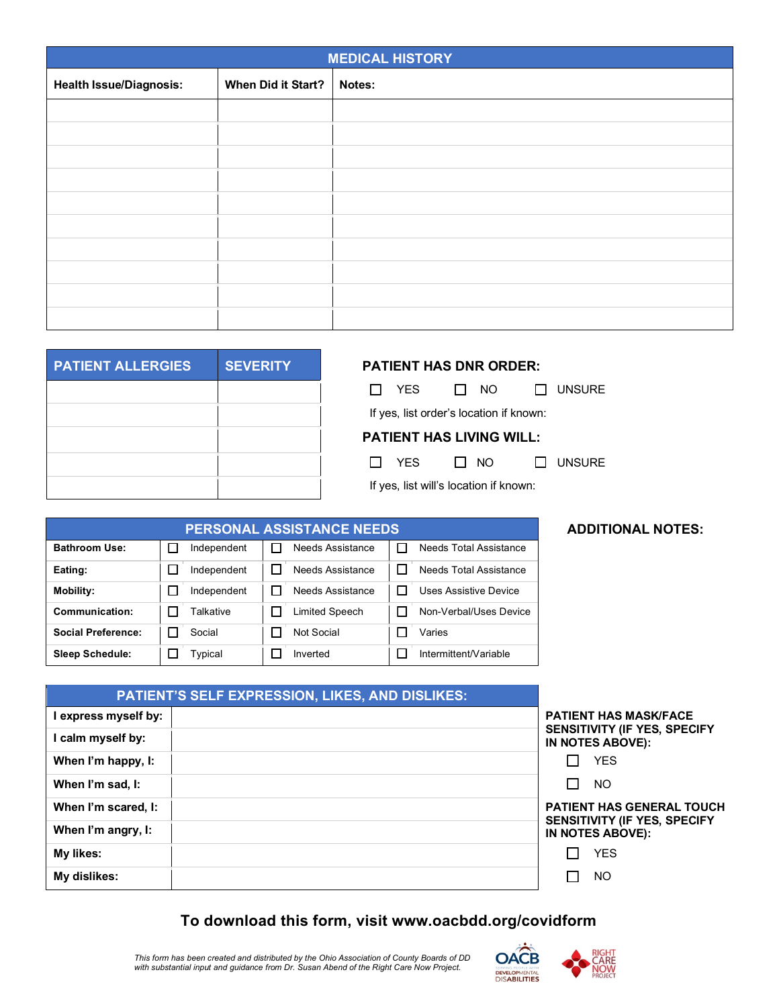| <b>MEDICAL HISTORY</b>         |                    |        |  |
|--------------------------------|--------------------|--------|--|
| <b>Health Issue/Diagnosis:</b> | When Did it Start? | Notes: |  |
|                                |                    |        |  |
|                                |                    |        |  |
|                                |                    |        |  |
|                                |                    |        |  |
|                                |                    |        |  |
|                                |                    |        |  |
|                                |                    |        |  |
|                                |                    |        |  |
|                                |                    |        |  |
|                                |                    |        |  |

| <b>PATIENT ALLERGIES</b> | <b>SEVERITY</b> | <b>PATIENT HAS DNR ORDER:</b>          |
|--------------------------|-----------------|----------------------------------------|
|                          |                 | YES<br>$\Box$ NO                       |
|                          |                 | If yes, list order's location if known |
|                          |                 | <b>PATIENT HAS LIVING WILL:</b>        |
|                          |                 | $\Box$ NO<br><b>YES</b>                |
|                          |                 | If yes, list will's location if known: |

| <b>PATIENT HAS DNR ORDER:</b>           |     |                          |  |  |  |
|-----------------------------------------|-----|--------------------------|--|--|--|
| YES                                     |     | <b>ITI NO ITI UNSURE</b> |  |  |  |
| If yes, list order's location if known: |     |                          |  |  |  |
| <b>PATIENT HAS LIVING WILL:</b>         |     |                          |  |  |  |
| <b>YES</b>                              | NO. | UNSURE                   |  |  |  |

| <b>PERSONAL ASSISTANCE NEEDS</b> |             |                         |                               |  |
|----------------------------------|-------------|-------------------------|-------------------------------|--|
| <b>Bathroom Use:</b>             | Independent | <b>Needs Assistance</b> | <b>Needs Total Assistance</b> |  |
| Eating:                          | Independent | Needs Assistance        | Needs Total Assistance        |  |
| Mobility:                        | Independent | Needs Assistance        | Uses Assistive Device         |  |
| Communication:                   | Talkative   | Limited Speech          | Non-Verbal/Uses Device        |  |
| <b>Social Preference:</b>        | Social      | Not Social              | Varies                        |  |
| <b>Sleep Schedule:</b>           | Typical     | Inverted                | Intermittent/Variable         |  |

#### **ADDITIONAL NOTES:**

| <b>PATIENT'S SELF EXPRESSION, LIKES, AND DISLIKES:</b> |  |  |                                                         |
|--------------------------------------------------------|--|--|---------------------------------------------------------|
| I express myself by:                                   |  |  | <b>PATIENT HAS MASK/FACE</b>                            |
| I calm myself by:                                      |  |  | <b>SENSITIVITY (IF YES, SPECIFY</b><br>IN NOTES ABOVE): |
| When I'm happy, I:                                     |  |  | <b>YES</b>                                              |
| When I'm sad, I:                                       |  |  | <b>NO</b>                                               |
| When I'm scared, I:                                    |  |  | <b>PATIENT HAS GENERAL TOUCH</b>                        |
| When I'm angry, I:                                     |  |  | SENSITIVITY (IF YES, SPECIFY<br>IN NOTES ABOVE):        |
| My likes:                                              |  |  | <b>YES</b>                                              |
| My dislikes:                                           |  |  | NO                                                      |
|                                                        |  |  |                                                         |

#### **To download this form, visit www.oacbdd.org/covidform**



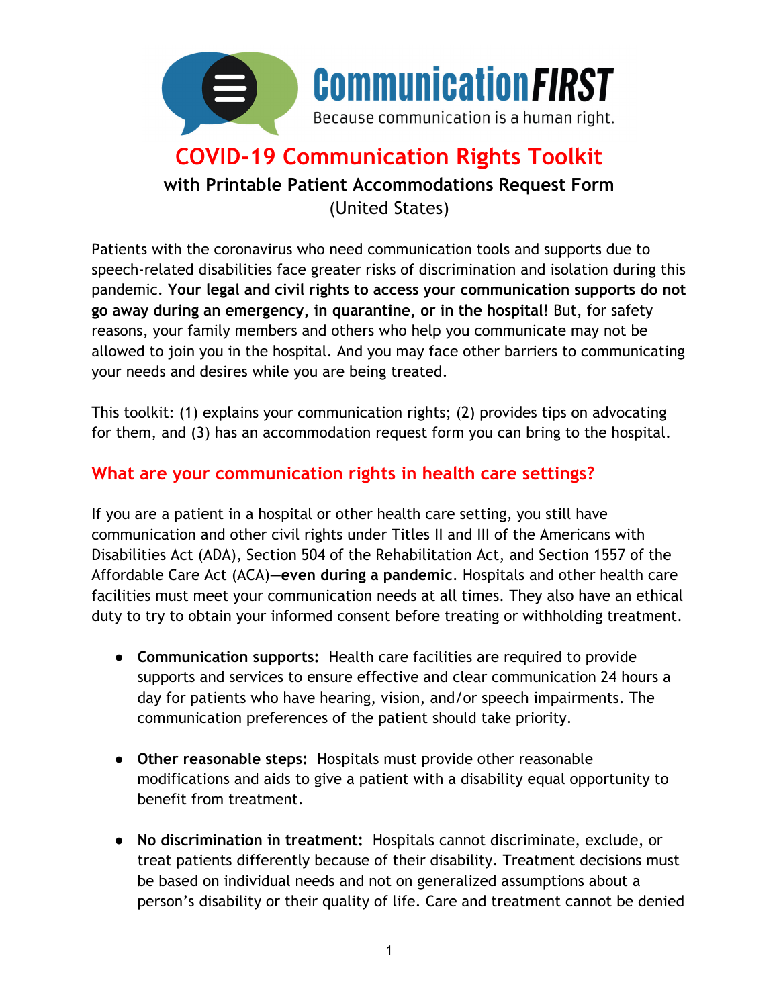

## **COVID-19 Communication Rights Toolkit with Printable Patient Accommodations Request Form**  (United States)

Patients with the coronavirus who need communication tools and supports due to speech-related disabilities face greater risks of discrimination and isolation during this pandemic. **Your legal and civil rights to access your communication supports do not go away during an emergency, in quarantine, or in the hospital!** But, for safety reasons, your family members and others who help you communicate may not be allowed to join you in the hospital. And you may face other barriers to communicating your needs and desires while you are being treated.

This toolkit: (1) explains your communication rights; (2) provides tips on advocating for them, and (3) has an accommodation request form you can bring to the hospital.

#### **What are your communication rights in health care settings?**

If you are a patient in a hospital or other health care setting, you still have communication and other civil rights under Titles II and III of the Americans with Disabilities Act (ADA), Section 504 of the Rehabilitation Act, and Section 1557 of the Affordable Care Act (ACA)**—even during a pandemic**. Hospitals and other health care facilities must meet your communication needs at all times. They also have an ethical duty to try to obtain your informed consent before treating or withholding treatment.

- **Communication supports:** Health care facilities are required to provide supports and services to ensure effective and clear communication 24 hours a day for patients who have hearing, vision, and/or speech impairments. The communication preferences of the patient should take priority.
- **Other reasonable steps:** Hospitals must provide other reasonable modifications and aids to give a patient with a disability equal opportunity to benefit from treatment.
- **No discrimination in treatment:** Hospitals cannot discriminate, exclude, or treat patients differently because of their disability. Treatment decisions must be based on individual needs and not on generalized assumptions about a person's disability or their quality of life. Care and treatment cannot be denied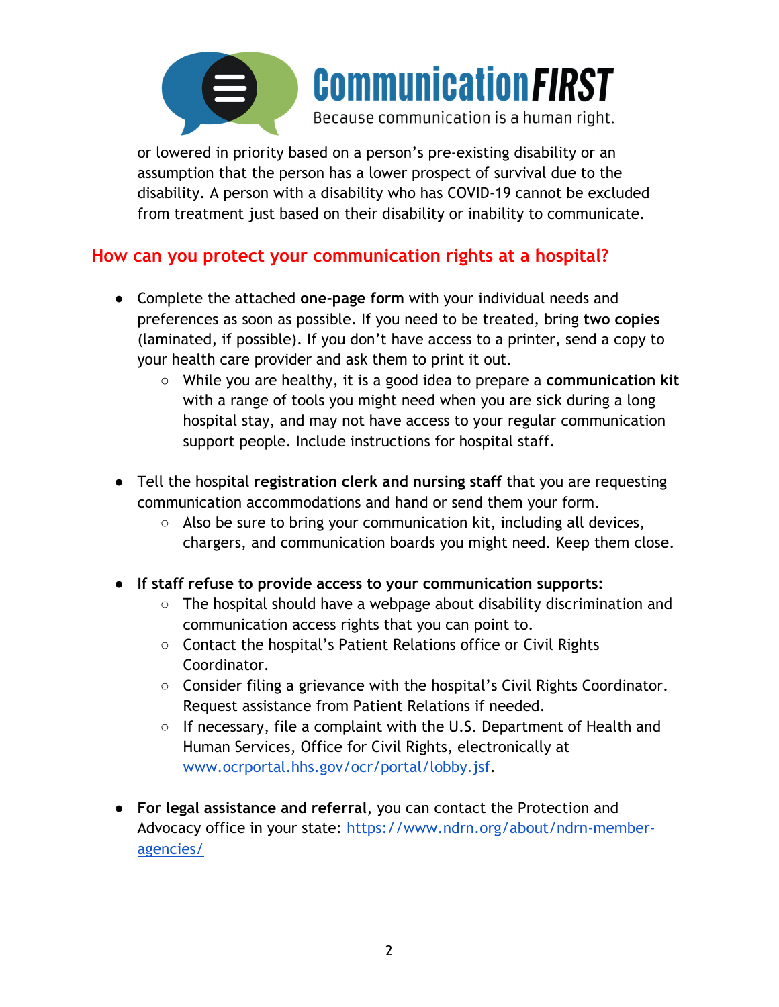

or lowered in priority based on a person's pre-existing disability or an assumption that the person has a lower prospect of survival due to the disability. A person with a disability who has COVID-19 cannot be excluded from treatment just based on their disability or inability to communicate.

#### **How can you protect your communication rights at a hospital?**

- Complete the attached **one-page form** with your individual needs and preferences as soon as possible. If you need to be treated, bring **two copies** (laminated, if possible). If you don't have access to a printer, send a copy to your health care provider and ask them to print it out.
	- While you are healthy, it is a good idea to prepare a **communication kit** with a range of tools you might need when you are sick during a long hospital stay, and may not have access to your regular communication support people. Include instructions for hospital staff.
- Tell the hospital **registration clerk and nursing staff** that you are requesting communication accommodations and hand or send them your form.
	- Also be sure to bring your communication kit, including all devices, chargers, and communication boards you might need. Keep them close.
- **If staff refuse to provide access to your communication supports:** 
	- The hospital should have a webpage about disability discrimination and communication access rights that you can point to.
	- Contact the hospital's Patient Relations office or Civil Rights Coordinator.
	- Consider filing a grievance with the hospital's Civil Rights Coordinator. Request assistance from Patient Relations if needed.
	- If necessary, file a complaint with the U.S. Department of Health and Human Services, Office for Civil Rights, electronically at www.ocrportal.hhs.gov/ocr/portal/lobby.jsf.
- **For legal assistance and referral**, you can contact the Protection and Advocacy office in your state: https://www.ndrn.org/about/ndrn-memberagencies/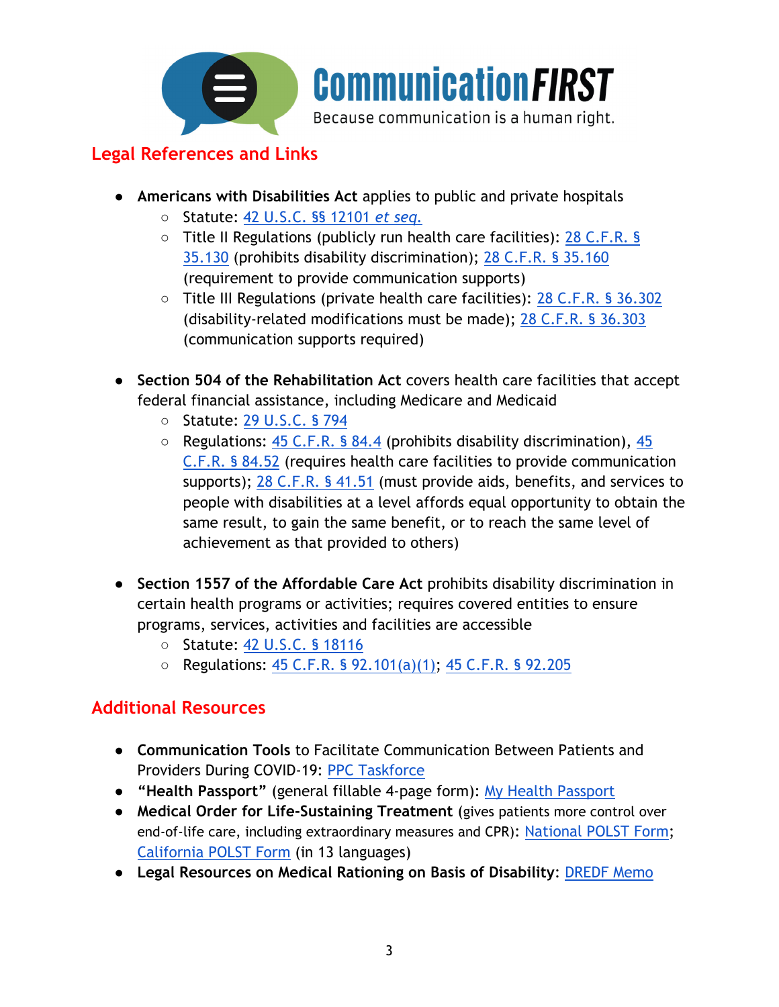

# **Communication FIRST**

Because communication is a human right.

#### **Legal References and Links**

- **Americans with Disabilities Act** applies to public and private hospitals
	- Statute: 42 U.S.C. §§ 12101 *et seq.*
	- Title II Regulations (publicly run health care facilities): 28 C.F.R. § 35.130 (prohibits disability discrimination); 28 C.F.R. § 35.160 (requirement to provide communication supports)
	- Title III Regulations (private health care facilities): 28 C.F.R. § 36.302 (disability-related modifications must be made); 28 C.F.R. § 36.303 (communication supports required)
- **Section 504 of the Rehabilitation Act** covers health care facilities that accept federal financial assistance, including Medicare and Medicaid
	- Statute: 29 U.S.C. § 794
	- Regulations: 45 C.F.R. § 84.4 (prohibits disability discrimination), 45 C.F.R. § 84.52 (requires health care facilities to provide communication supports); 28 C.F.R. § 41.51 (must provide aids, benefits, and services to people with disabilities at a level affords equal opportunity to obtain the same result, to gain the same benefit, or to reach the same level of achievement as that provided to others)
- **Section 1557 of the Affordable Care Act** prohibits disability discrimination in certain health programs or activities; requires covered entities to ensure programs, services, activities and facilities are accessible
	- Statute: 42 U.S.C. § 18116
	- Regulations: 45 C.F.R. § 92.101(a)(1); 45 C.F.R. § 92.205

### **Additional Resources**

- **Communication Tools** to Facilitate Communication Between Patients and Providers During COVID-19: PPC Taskforce
- **"Health Passport"** (general fillable 4-page form): My Health Passport
- **Medical Order for Life-Sustaining Treatment** (gives patients more control over end-of-life care, including extraordinary measures and CPR): National POLST Form; California POLST Form (in 13 languages)
- **Legal Resources on Medical Rationing on Basis of Disability**: DREDF Memo